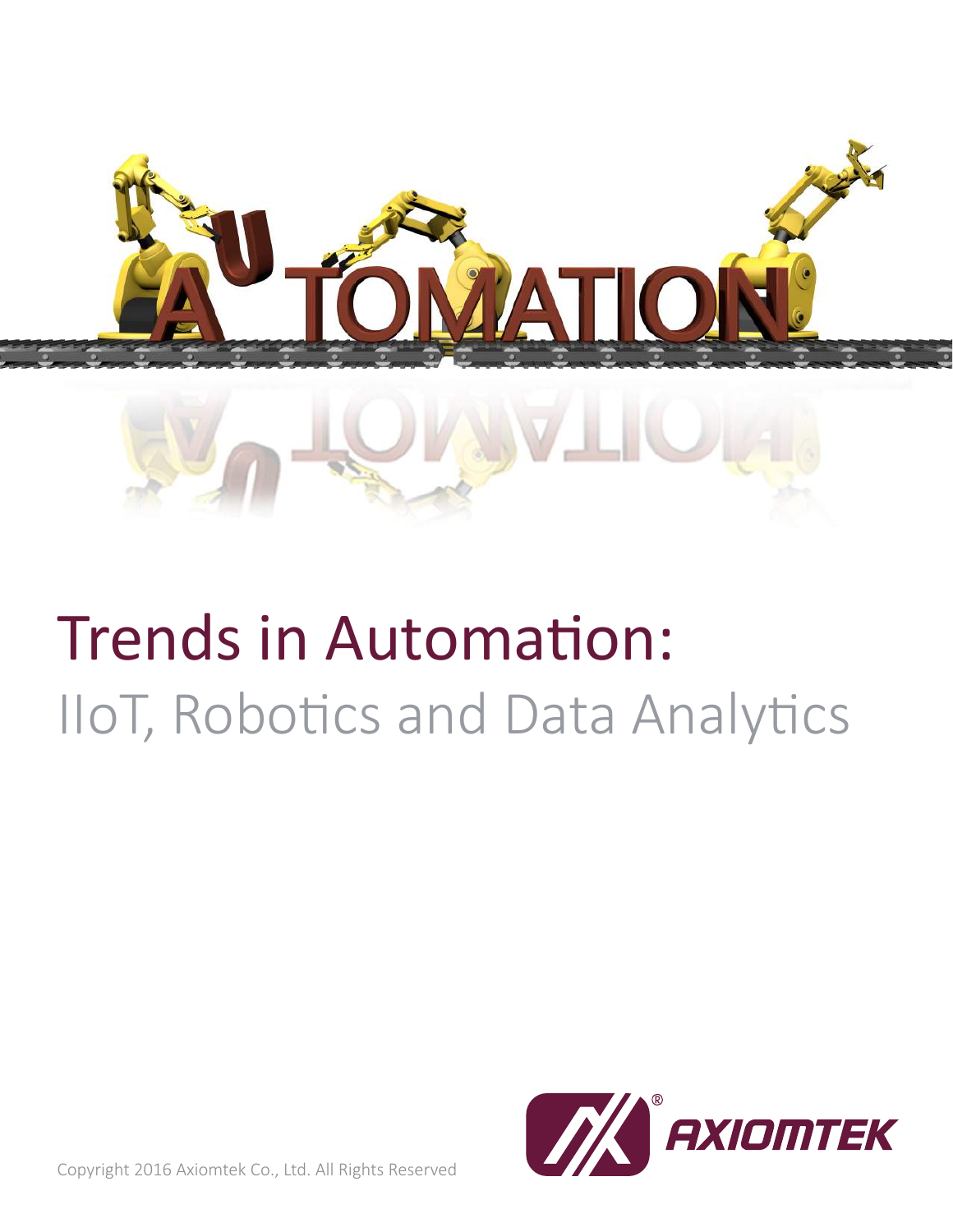

## Trends in Automation: IIoT, Robotics and Data Analytics



Copyright 2016 Axiomtek Co., Ltd. All Rights Reserved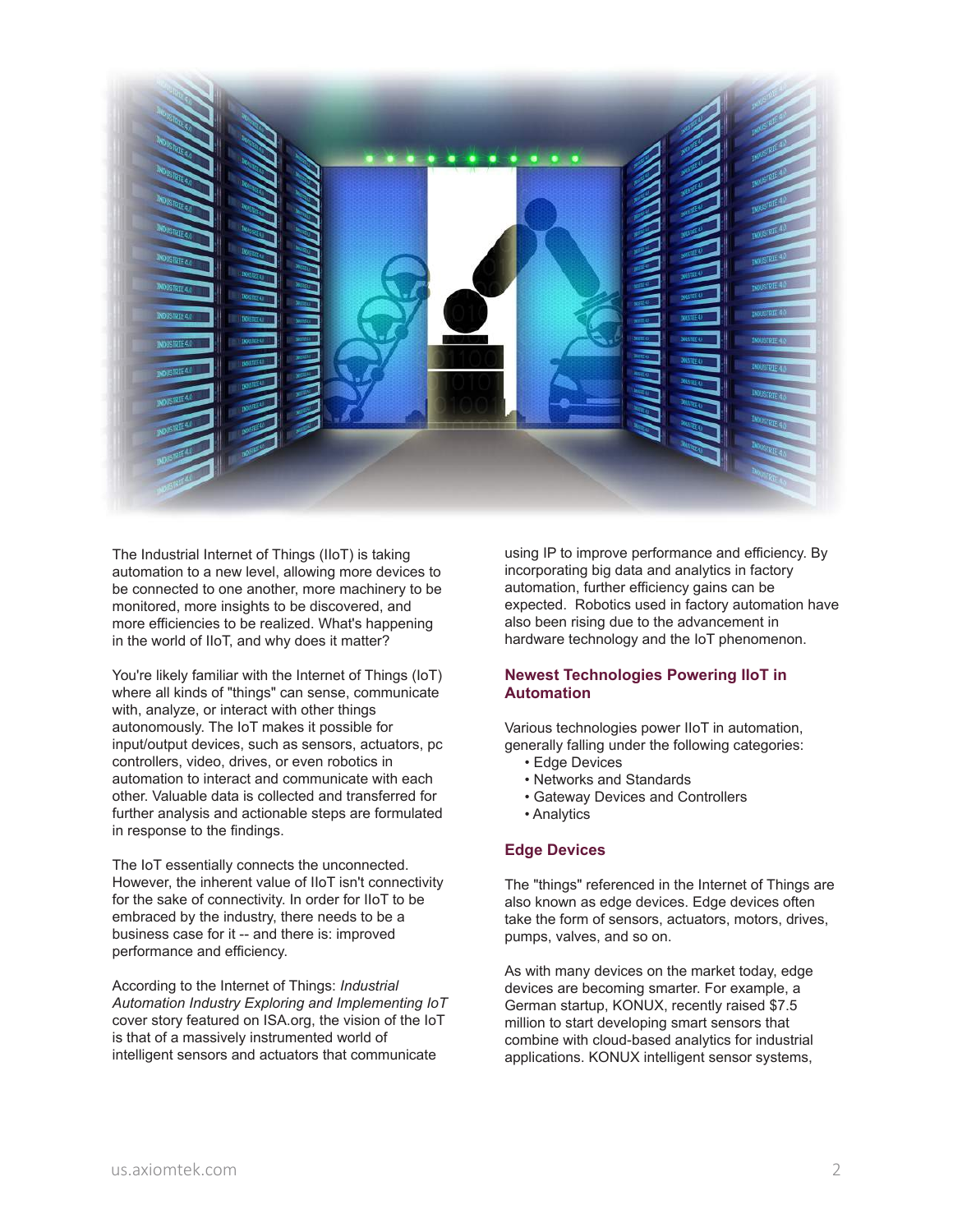

The Industrial Internet of Things (IIoT) is taking automation to a new level, allowing more devices to be connected to one another, more machinery to be monitored, more insights to be discovered, and more efficiencies to be realized. What's happening in the world of IIoT, and why does it matter?

You're likely familiar with the Internet of Things (IoT) where all kinds of "things" can sense, communicate with, analyze, or interact with other things autonomously. The IoT makes it possible for input/output devices, such as sensors, actuators, pc controllers, video, drives, or even robotics in automation to interact and communicate with each other. Valuable data is collected and transferred for further analysis and actionable steps are formulated in response to the findings.

The IoT essentially connects the unconnected. However, the inherent value of IIoT isn't connectivity for the sake of connectivity. In order for IIoT to be embraced by the industry, there needs to be a business case for it -- and there is: improved performance and efficiency.

According to the Internet of Things: *Industrial Automation Industry Exploring and Implementing IoT* cover story featured on ISA.org, the vision of the IoT is that of a massively instrumented world of intelligent sensors and actuators that communicate

using IP to improve performance and efficiency. By incorporating big data and analytics in factory automation, further efficiency gains can be expected. Robotics used in factory automation have also been rising due to the advancement in hardware technology and the IoT phenomenon.

### **Newest Technologies Powering IIoT in Automation**

Various technologies power IIoT in automation, generally falling under the following categories:

- Edge Devices
- Networks and Standards
- Gateway Devices and Controllers
- Analytics

#### **Edge Devices**

The "things" referenced in the Internet of Things are also known as edge devices. Edge devices often take the form of sensors, actuators, motors, drives, pumps, valves, and so on.

As with many devices on the market today, edge devices are becoming smarter. For example, a German startup, KONUX, recently raised \$7.5 million to start developing smart sensors that combine with cloud-based analytics for industrial applications. KONUX intelligent sensor systems,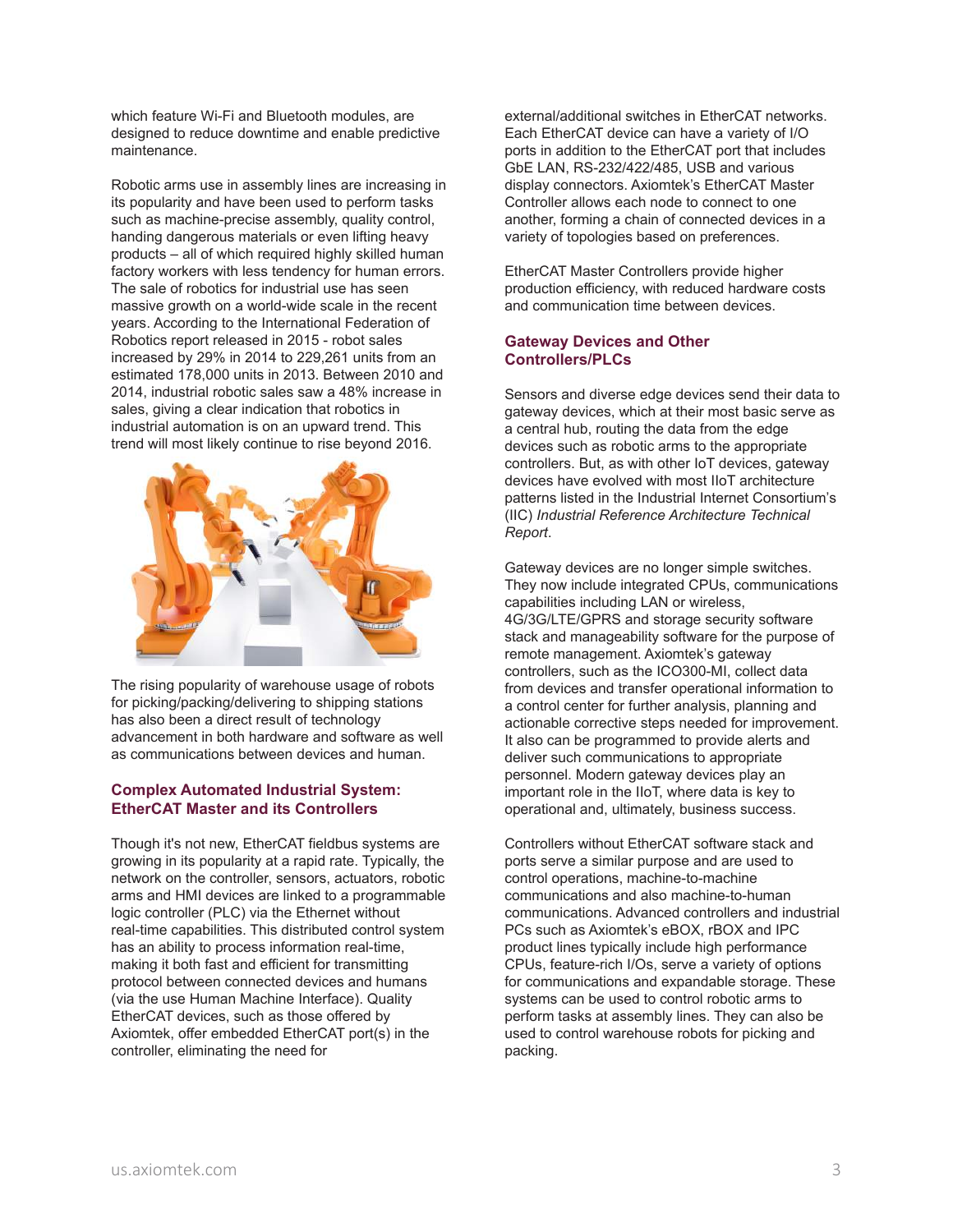which feature Wi-Fi and Bluetooth modules, are designed to reduce downtime and enable predictive maintenance.

Robotic arms use in assembly lines are increasing in its popularity and have been used to perform tasks such as machine-precise assembly, quality control, handing dangerous materials or even lifting heavy products – all of which required highly skilled human factory workers with less tendency for human errors. The sale of robotics for industrial use has seen massive growth on a world-wide scale in the recent years. According to the International Federation of Robotics report released in 2015 - robot sales increased by 29% in 2014 to 229,261 units from an estimated 178,000 units in 2013. Between 2010 and 2014, industrial robotic sales saw a 48% increase in sales, giving a clear indication that robotics in industrial automation is on an upward trend. This trend will most likely continue to rise beyond 2016.



The rising popularity of warehouse usage of robots for picking/packing/delivering to shipping stations has also been a direct result of technology advancement in both hardware and software as well as communications between devices and human.

#### **Complex Automated Industrial System: EtherCAT Master and its Controllers**

Though it's not new, EtherCAT fieldbus systems are growing in its popularity at a rapid rate. Typically, the network on the controller, sensors, actuators, robotic arms and HMI devices are linked to a programmable logic controller (PLC) via the Ethernet without real-time capabilities. This distributed control system has an ability to process information real-time, making it both fast and efficient for transmitting protocol between connected devices and humans (via the use Human Machine Interface). Quality EtherCAT devices, such as those offered by Axiomtek, offer embedded EtherCAT port(s) in the controller, eliminating the need for

external/additional switches in EtherCAT networks. Each EtherCAT device can have a variety of I/O ports in addition to the EtherCAT port that includes GbE LAN, RS-232/422/485, USB and various display connectors. Axiomtek's EtherCAT Master Controller allows each node to connect to one another, forming a chain of connected devices in a variety of topologies based on preferences.

EtherCAT Master Controllers provide higher production efficiency, with reduced hardware costs and communication time between devices.

### **Gateway Devices and Other Controllers/PLCs**

Sensors and diverse edge devices send their data to gateway devices, which at their most basic serve as a central hub, routing the data from the edge devices such as robotic arms to the appropriate controllers. But, as with other IoT devices, gateway devices have evolved with most IIoT architecture patterns listed in the Industrial Internet Consortium's (IIC) *Industrial Reference Architecture Technical Report*.

Gateway devices are no longer simple switches. They now include integrated CPUs, communications capabilities including LAN or wireless, 4G/3G/LTE/GPRS and storage security software stack and manageability software for the purpose of remote management. Axiomtek's gateway controllers, such as the ICO300-MI, collect data from devices and transfer operational information to a control center for further analysis, planning and actionable corrective steps needed for improvement. It also can be programmed to provide alerts and deliver such communications to appropriate personnel. Modern gateway devices play an important role in the IIoT, where data is key to operational and, ultimately, business success.

Controllers without EtherCAT software stack and ports serve a similar purpose and are used to control operations, machine-to-machine communications and also machine-to-human communications. Advanced controllers and industrial PCs such as Axiomtek's eBOX, rBOX and IPC product lines typically include high performance CPUs, feature-rich I/Os, serve a variety of options for communications and expandable storage. These systems can be used to control robotic arms to perform tasks at assembly lines. They can also be used to control warehouse robots for picking and packing.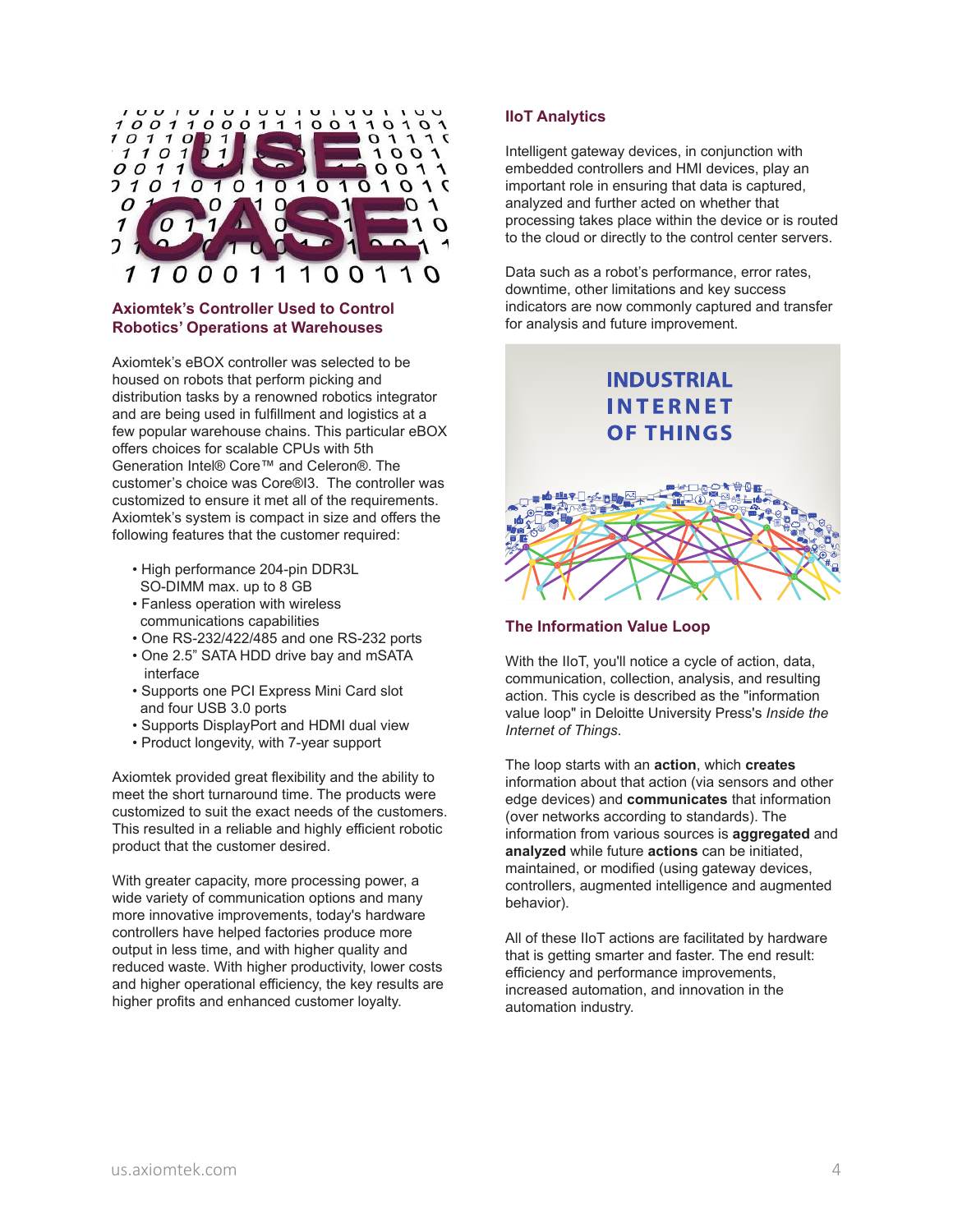

#### **Axiomtek's Controller Used to Control Robotics' Operations at Warehouses**

Axiomtek's eBOX controller was selected to be housed on robots that perform picking and distribution tasks by a renowned robotics integrator and are being used in fulfillment and logistics at a few popular warehouse chains. This particular eBOX offers choices for scalable CPUs with 5th Generation Intel® Core™ and Celeron®. The customer's choice was Core®I3. The controller was customized to ensure it met all of the requirements. Axiomtek's system is compact in size and offers the following features that the customer required:

- High performance 204-pin DDR3L SO-DIMM max. up to 8 GB
- Fanless operation with wireless communications capabilities
- One RS-232/422/485 and one RS-232 ports
- One 2.5" SATA HDD drive bay and mSATA interface
- Supports one PCI Express Mini Card slot and four USB 3.0 ports
- Supports DisplayPort and HDMI dual view
- Product longevity, with 7-year support

Axiomtek provided great flexibility and the ability to meet the short turnaround time. The products were customized to suit the exact needs of the customers. This resulted in a reliable and highly efficient robotic product that the customer desired.

With greater capacity, more processing power, a wide variety of communication options and many more innovative improvements, today's hardware controllers have helped factories produce more output in less time, and with higher quality and reduced waste. With higher productivity, lower costs and higher operational efficiency, the key results are higher profits and enhanced customer loyalty.

#### **IIoT Analytics**

Intelligent gateway devices, in conjunction with embedded controllers and HMI devices, play an important role in ensuring that data is captured, analyzed and further acted on whether that processing takes place within the device or is routed to the cloud or directly to the control center servers.

Data such as a robot's performance, error rates, downtime, other limitations and key success indicators are now commonly captured and transfer for analysis and future improvement.

# **INDUSTRIAL INTERNET OF THINGS**

#### **The Information Value Loop**

With the IIoT, you'll notice a cycle of action, data, communication, collection, analysis, and resulting action. This cycle is described as the "information value loop" in Deloitte University Press's *Inside the Internet of Things*.

The loop starts with an **action**, which **creates** information about that action (via sensors and other edge devices) and **communicates** that information (over networks according to standards). The information from various sources is **aggregated** and **analyzed** while future **actions** can be initiated, maintained, or modified (using gateway devices, controllers, augmented intelligence and augmented behavior).

All of these IIoT actions are facilitated by hardware that is getting smarter and faster. The end result: efficiency and performance improvements, increased automation, and innovation in the automation industry.